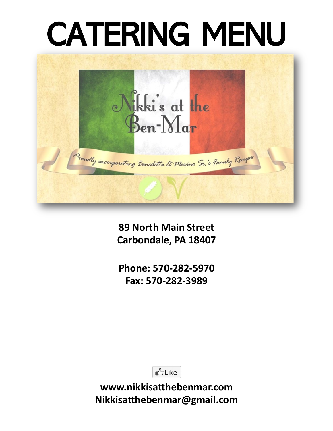# CATERING MENU



**89 North Main Street Carbondale, PA 18407**

**Phone: 570-282-5970 Fax: 570-282-3989**

 $\triangle$  Like

**www.nikkisatthebenmar.com Nikkisatthebenmar@gmail.com**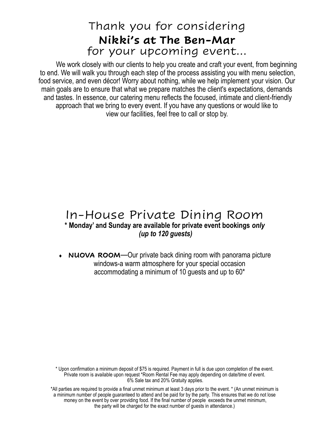### Thank you for considering **Nikki's at The Ben-Mar** for your upcoming event…

We work closely with our clients to help you create and craft your event, from beginning to end. We will walk you through each step of the process assisting you with menu selection, food service, and even décor! Worry about nothing, while we help implement your vision. Our main goals are to ensure that what we prepare matches the client's expectations, demands and tastes. In essence, our catering menu reflects the focused, intimate and client-friendly approach that we bring to every event. If you have any questions or would like to view our facilities, feel free to call or stop by.

#### In-House Private Dining Room **\* Monday' and Sunday are available for private event bookings** *only (up to 120 guests)*

 **NUOVA ROOM**—Our private back dining room with panorama picture windows-a warm atmosphere for your special occasion accommodating a minimum of 10 guests and up to 60\*

\* Upon confirmation a minimum deposit of \$75 is required. Payment in full is due upon completion of the event. Private room is available upon request \*Room Rental Fee may apply depending on date/time of event. 6% Sale tax and 20% Gratuity applies.

\*All parties are required to provide a final unmet minimum at least 3 days prior to the event. \* (An unmet minimum is a minimum number of people guaranteed to attend and be paid for by the party. This ensures that we do not lose money on the event by over providing food. If the final number of people exceeds the unmet minimum, the party will be charged for the exact number of guests in attendance.)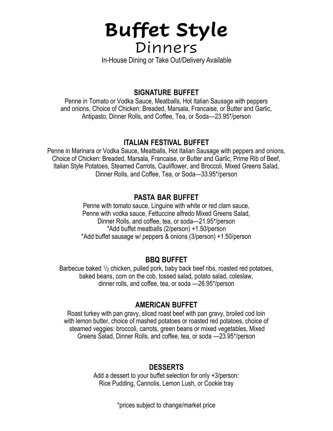### **Buffet Style**  Dinners

In-House Dining or Take Out/Delivery Available

#### **SIGNATURE BUFFET**

Penne in Tomato or Vodka Sauce, Meatballs, Hot Italian Sausage with peppers and onions, Choice of Chicken: Breaded, Marsala, Francaise, or Butter and Garlic, Antipasto, Dinner Rolls, and Coffee, Tea, or Soda—23.95\*/person

#### **ITALIAN FESTIVAL BUFFET**

Penne in Marinara or Vodka Sauce, Meatballs, Hot Italian Sausage with peppers and onions, Choice of Chicken: Breaded, Marsala, Francaise, or Butter and Garlic, Prime Rib of Beef, Italian Style Potatoes, Steamed Carrots, Cauliflower, and Broccoli, Mixed Greens Salad, Dinner Rolls, and Coffee, Tea, or Soda—33.95\*/person

#### **PASTA BAR BUFFET**

Penne with tomato sauce, Linguine with white or red clam sauce, Penne with vodka sauce, Fettuccine alfredo Mixed Greens Salad, Dinner Rolls, and coffee, tea, or soda—21.95\*/person \*Add buffet meatballs (2/person) +1.50/person \*Add buffet sausage w/ peppers & onions (3/person) +1.50/person

#### **BBQ BUFFET**

Barbecue baked  $1/2$  chicken, pulled pork, baby back beef ribs, roasted red potatoes, baked beans, corn on the cob, tossed salad, potato salad, coleslaw, dinner rolls, and coffee, tea, or soda —26.95\*/person

#### **AMERICAN BUFFET**

Roast turkey with pan gravy, sliced roast beef with pan gravy, broiled cod loin with lemon butter, choice of mashed potatoes or roasted red potatoes, choice of steamed veggies: broccoli, carrots, green beans or mixed vegetables, Mixed Greens Salad, Dinner Rolls, and coffee, tea, or soda —23.95\*/person

#### **DESSERTS**

Add a dessert to your buffet selection for only +3/person: Rice Pudding, Cannolis, Lemon Lush, or Cookie tray

\*prices subject to change/market price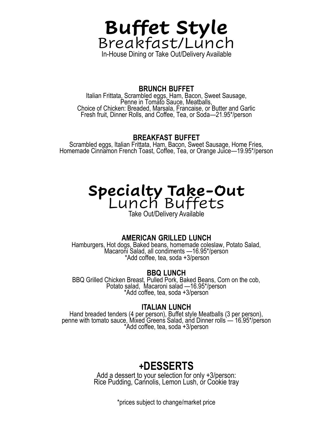

#### **BRUNCH BUFFET**

Italian Frittata, Scrambled eggs, Ham, Bacon, Sweet Sausage, Penne in Tomato Sauce, Meatballs, Choice of Chicken: Breaded, Marsala, Francaise, or Butter and Garlic Fresh fruit, Dinner Rolls, and Coffee, Tea, or Soda—21.95\*/person

#### **BREAKFAST BUFFET**

Scrambled eggs, Italian Frittata, Ham, Bacon, Sweet Sausage, Home Fries, Homemade Cinnamon French Toast, Coffee, Tea, or Orange Juice—19.95\*/person

### **Specialty Take-Out** Lunch Buffets

Take Out/Delivery Available

#### **AMERICAN GRILLED LUNCH**

Hamburgers, Hot dogs, Baked beans, homemade coleslaw, Potato Salad, Macaroni Salad, all condiments —16.95\*/person \*Add coffee, tea, soda +3/person

#### **BBQ LUNCH**

BBQ Grilled Chicken Breast, Pulled Pork, Baked Beans, Corn on the cob, Potato salad, Macaroni salad —16.95\*/person \*Add coffee, tea, soda +3/person

#### **ITALIAN LUNCH**

Hand breaded tenders (4 per person), Buffet style Meatballs (3 per person), penne with tomato sauce, Mixed Greens Salad, and Dinner rolls — 16.95\*/person \*Add coffee, tea, soda +3/person

### **+DESSERTS**

Add a dessert to your selection for only +3/person: Rice Pudding, Cannolis, Lemon Lush, or Cookie tray

\*prices subject to change/market price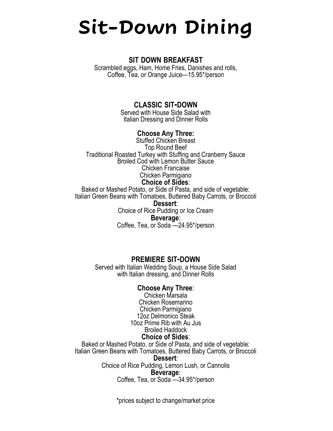# **Sit-Down Dining**

#### **SIT DOWN BREAKFAST**

Scrambled eggs, Ham, Home Fries, Danishes and rolls, Coffee, Tea, or Orange Juice—15.95\*/person

#### **CLASSIC SIT-DOWN**

Served with House Side Salad with Italian Dressing and Dinner Rolls

#### **Choose Any Three:**

Stuffed Chicken Breast Top Round Beef Traditional Roasted Turkey with Stuffing and Cranberry Sauce Broiled Cod with Lemon Butter Sauce Chicken Francaise Chicken Parmigiano **Choice of Sides**:

Baked or Mashed Potato, or Side of Pasta, and side of vegetable: Italian Green Beans with Tomatoes, Buttered Baby Carrots, or Broccoli **Dessert**:

Choice of Rice Pudding or Ice Cream **Beverage**: Coffee, Tea, or Soda —24.95\*/person

#### **PREMIERE SIT-DOWN**

Served with Italian Wedding Soup, a House Side Salad with Italian dressing, and Dinner Rolls

#### **Choose Any Three**:

Chicken Marsala Chicken Rosemarino Chicken Parmigiano 12oz Delmonico Steak 10oz Prime Rib with Au Jus Broiled Haddock

#### **Choice of Sides**:

Baked or Mashed Potato, or Side of Pasta, and side of vegetable: Italian Green Beans with Tomatoes, Buttered Baby Carrots, or Broccoli

#### **Dessert**:

Choice of Rice Pudding, Lemon Lush, or Cannolis

#### **Beverage**:

Coffee, Tea, or Soda —34.95\*/person

\*prices subject to change/market price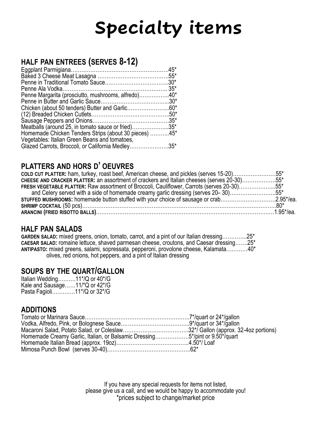# **Specialty items**

#### **HALF PAN ENTREES (SERVES 8-12)**

|                                                       | $35*$ |
|-------------------------------------------------------|-------|
| Penne Margarita (prosciutto, mushrooms, alfredo)40*   |       |
|                                                       |       |
| Chicken (about 50 tenders) Butter and Garlic60*       |       |
|                                                       |       |
|                                                       |       |
| Meatballs (around 25, in tomato sauce or fried)35*    |       |
| Homemade Chicken Tenders Strips (about 30 pieces) 45* |       |
| Vegetables: Italian Green Beans and tomatoes,         |       |
| Glazed Carrots, Broccoli, or California Medley35*     |       |
|                                                       |       |

#### **PLATTERS AND HORS D' OEUVRES**

| COLD CUT PLATTER: ham, turkey, roast beef, American cheese, and pickles (serves 15-20)55*          |  |
|----------------------------------------------------------------------------------------------------|--|
| cHEESE AND CRACKER PLATTER: an assortment of crackers and Italian cheeses (serves 20-30)55*        |  |
| <b>FRESH VEGETABLE PLATTER:</b> Raw assortment of Broccoli, Cauliflower, Carrots (serves 20-30)55* |  |
| and Celery served with a side of homemade creamy garlic dressing (serves 20-30)55*                 |  |
| STUFFED MUSHROOMS: homemade button stuffed with your choice of sausage or crab2.95*/ea.            |  |
|                                                                                                    |  |
|                                                                                                    |  |

#### **HALF PAN SALADS**

**GARDEN SALAD:** mixed greens, onion, tomato, carrot, and a pint of our Italian dressing…………..25\* **CAESAR SALAD:** romaine lettuce, shaved parmesan cheese, croutons, and Caesar dressing…….25\* **ANTIPASTO:** mixed greens, salami, sopressata, pepperoni, provolone cheese, Kalamata…………40\* olives, red onions, hot peppers, and a pint of Italian dressing

#### **SOUPS BY THE QUART/GALLON**

Italian Wedding……….11\*/Q or 40\*/G Kale and Sausage……11/\*Q or 42\*/G Pasta Fagioli………….11\*/Q or 32\*/G

#### **ADDITIONS**

| Homemade Creamy Garlic, Italian, or Balsamic Dressing5*/pint or 9.50*/quart |  |
|-----------------------------------------------------------------------------|--|
|                                                                             |  |
|                                                                             |  |

If you have any special requests for items not listed, please give us a call, and we would be happy to accommodate you! \*prices subject to change/market price